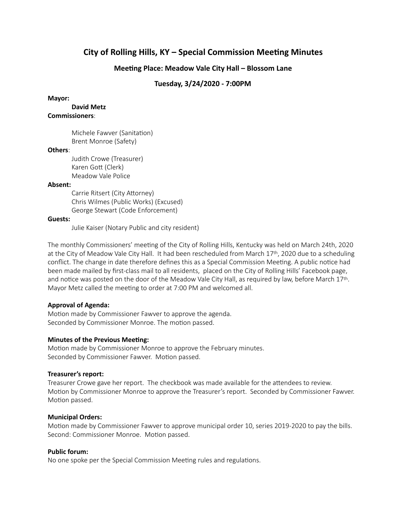# **City of Rolling Hills, KY - Special Commission Meeting Minutes**

## **Meeting Place: Meadow Vale City Hall – Blossom Lane**

## **Tuesday, 3/24/2020 - 7:00PM**

#### **Mayor:**

 **David Metz Commissioners**:

> Michele Fawver (Sanitation) Brent Monroe (Safety)

### **Others**:

Judith Crowe (Treasurer) Karen Gott (Clerk) Meadow Vale Police

#### **Absent:**

Carrie Ritsert (City Attorney) Chris Wilmes (Public Works) (Excused) George Stewart (Code Enforcement)

#### **Guests:**

Julie Kaiser (Notary Public and city resident)

The monthly Commissioners' meeting of the City of Rolling Hills, Kentucky was held on March 24th, 2020 at the City of Meadow Vale City Hall. It had been rescheduled from March 17th, 2020 due to a scheduling conflict. The change in date therefore defines this as a Special Commission Meeting. A public notice had been made mailed by first-class mail to all residents, placed on the City of Rolling Hills' Facebook page, and notice was posted on the door of the Meadow Vale City Hall, as required by law, before March 17th. Mayor Metz called the meeting to order at 7:00 PM and welcomed all.

### **Approval of Agenda:**

Motion made by Commissioner Fawver to approve the agenda. Seconded by Commissioner Monroe. The motion passed.

### **Minutes of the Previous Meeting:**

Motion made by Commissioner Monroe to approve the February minutes. Seconded by Commissioner Fawver. Motion passed.

### **Treasurer's report:**

Treasurer Crowe gave her report. The checkbook was made available for the attendees to review. Motion by Commissioner Monroe to approve the Treasurer's report. Seconded by Commissioner Fawver. Motion passed.

### **Municipal Orders:**

Motion made by Commissioner Fawver to approve municipal order 10, series 2019-2020 to pay the bills. Second: Commissioner Monroe. Motion passed.

### **Public forum:**

No one spoke per the Special Commission Meeting rules and regulations.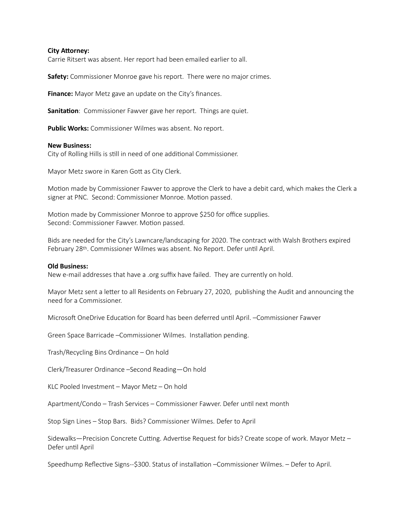#### **City Attorney:**

Carrie Ritsert was absent. Her report had been emailed earlier to all.

**Safety:** Commissioner Monroe gave his report. There were no major crimes.

**Finance:** Mayor Metz gave an update on the City's finances.

Sanitation: Commissioner Fawver gave her report. Things are quiet.

**Public Works:** Commissioner Wilmes was absent. No report.

#### **New Business:**

City of Rolling Hills is still in need of one additional Commissioner.

Mayor Metz swore in Karen Gott as City Clerk.

Motion made by Commissioner Fawver to approve the Clerk to have a debit card, which makes the Clerk a signer at PNC. Second: Commissioner Monroe. Motion passed.

Motion made by Commissioner Monroe to approve \$250 for office supplies. Second: Commissioner Fawver. Motion passed.

Bids are needed for the City's Lawncare/landscaping for 2020. The contract with Walsh Brothers expired February 28<sup>th</sup>. Commissioner Wilmes was absent. No Report. Defer until April.

#### **Old Business:**

New e-mail addresses that have a .org suffix have failed. They are currently on hold.

Mayor Metz sent a letter to all Residents on February 27, 2020, publishing the Audit and announcing the need for a Commissioner.

Microsoft OneDrive Education for Board has been deferred until April. –Commissioner Fawver

Green Space Barricade –Commissioner Wilmes. Installation pending.

Trash/Recycling Bins Ordinance – On hold

Clerk/Treasurer Ordinance –Second Reading—On hold

KLC Pooled Investment – Mayor Metz – On hold

Apartment/Condo – Trash Services – Commissioner Fawver. Defer until next month

Stop Sign Lines – Stop Bars. Bids? Commissioner Wilmes. Defer to April

Sidewalks—Precision Concrete Cutting. Advertise Request for bids? Create scope of work. Mayor Metz – Defer until April

Speedhump Reflective Signs--\$300. Status of installation –Commissioner Wilmes. – Defer to April.